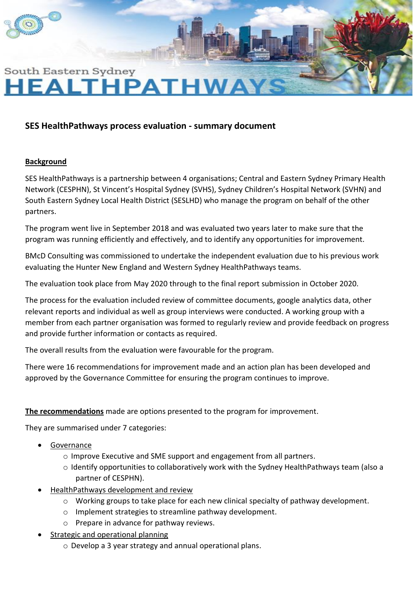

# South Eastern Sydney **HEALTHPATHWAY**

## **SES HealthPathways process evaluation - summary document**

#### **Background**

SES HealthPathways is a partnership between 4 organisations; Central and Eastern Sydney Primary Health Network (CESPHN), St Vincent's Hospital Sydney (SVHS), Sydney Children's Hospital Network (SVHN) and South Eastern Sydney Local Health District (SESLHD) who manage the program on behalf of the other partners.

The program went live in September 2018 and was evaluated two years later to make sure that the program was running efficiently and effectively, and to identify any opportunities for improvement.

BMcD Consulting was commissioned to undertake the independent evaluation due to his previous work evaluating the Hunter New England and Western Sydney HealthPathways teams.

The evaluation took place from May 2020 through to the final report submission in October 2020.

The process for the evaluation included review of committee documents, google analytics data, other relevant reports and individual as well as group interviews were conducted. A working group with a member from each partner organisation was formed to regularly review and provide feedback on progress and provide further information or contacts as required.

The overall results from the evaluation were favourable for the program.

There were 16 recommendations for improvement made and an action plan has been developed and approved by the Governance Committee for ensuring the program continues to improve.

#### **The recommendations** made are options presented to the program for improvement.

They are summarised under 7 categories:

- Governance
	- o Improve Executive and SME support and engagement from all partners.
	- o Identify opportunities to collaboratively work with the Sydney HealthPathways team (also a partner of CESPHN).
- HealthPathways development and review
	- o Working groups to take place for each new clinical specialty of pathway development.
	- o Implement strategies to streamline pathway development.
	- o Prepare in advance for pathway reviews.
- Strategic and operational planning
	- o Develop a 3 year strategy and annual operational plans.